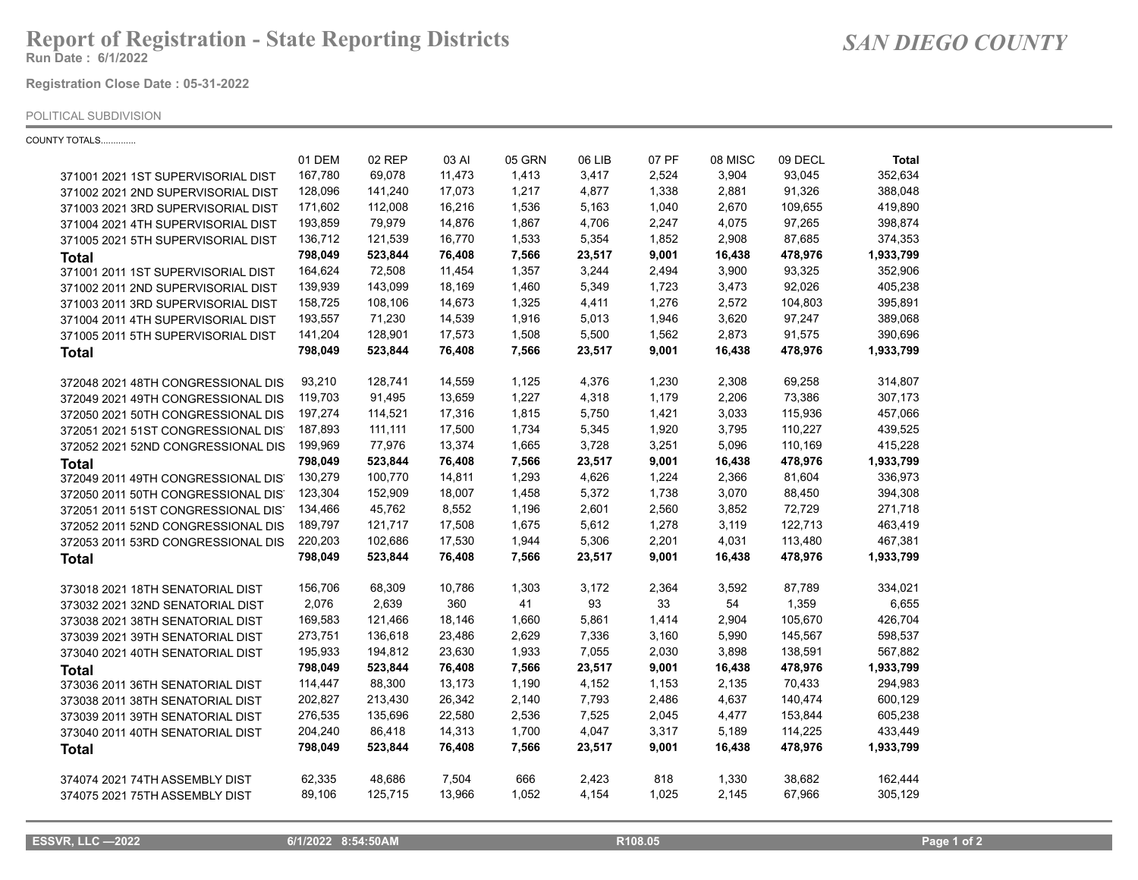## **Report of Registration - State Reporting Districts**

**Run Date : 6/1/2022**

**Registration Close Date : 05-31-2022**

## POLITICAL SUBDIVISION

COUNTY TOTALS..............

|                                     | 01 DEM  | 02 REP  | 03 AI  | 05 GRN | 06 LIB | 07 PF | 08 MISC | 09 DECL | <b>Total</b> |
|-------------------------------------|---------|---------|--------|--------|--------|-------|---------|---------|--------------|
| 371001 2021 1ST SUPERVISORIAL DIST  | 167,780 | 69,078  | 11,473 | 1,413  | 3,417  | 2,524 | 3,904   | 93,045  | 352,634      |
| 371002 2021 2ND SUPERVISORIAL DIST  | 128,096 | 141,240 | 17,073 | 1,217  | 4,877  | 1,338 | 2,881   | 91,326  | 388,048      |
| 371003 2021 3RD SUPERVISORIAL DIST  | 171,602 | 112,008 | 16,216 | 1,536  | 5,163  | 1,040 | 2,670   | 109,655 | 419,890      |
| 371004 2021 4TH SUPERVISORIAL DIST  | 193,859 | 79,979  | 14,876 | 1,867  | 4,706  | 2,247 | 4,075   | 97,265  | 398,874      |
| 371005 2021 5TH SUPERVISORIAL DIST  | 136,712 | 121,539 | 16,770 | 1,533  | 5,354  | 1,852 | 2,908   | 87,685  | 374,353      |
| <b>Total</b>                        | 798,049 | 523,844 | 76,408 | 7,566  | 23,517 | 9,001 | 16,438  | 478,976 | 1,933,799    |
| 371001 2011 1ST SUPERVISORIAL DIST  | 164,624 | 72,508  | 11,454 | 1,357  | 3,244  | 2,494 | 3,900   | 93,325  | 352,906      |
| 371002 2011 2ND SUPERVISORIAL DIST  | 139,939 | 143,099 | 18,169 | 1,460  | 5,349  | 1,723 | 3,473   | 92,026  | 405,238      |
| 371003 2011 3RD SUPERVISORIAL DIST  | 158,725 | 108,106 | 14,673 | 1,325  | 4,411  | 1,276 | 2,572   | 104,803 | 395,891      |
| 371004 2011 4TH SUPERVISORIAL DIST  | 193,557 | 71,230  | 14,539 | 1,916  | 5,013  | 1,946 | 3,620   | 97,247  | 389,068      |
| 371005 2011 5TH SUPERVISORIAL DIST  | 141,204 | 128,901 | 17,573 | 1,508  | 5,500  | 1,562 | 2,873   | 91,575  | 390,696      |
| <b>Total</b>                        | 798,049 | 523,844 | 76,408 | 7,566  | 23,517 | 9,001 | 16,438  | 478,976 | 1,933,799    |
| 372048 2021 48TH CONGRESSIONAL DIS  | 93,210  | 128,741 | 14,559 | 1,125  | 4,376  | 1,230 | 2,308   | 69,258  | 314,807      |
| 372049 2021 49TH CONGRESSIONAL DIS  | 119,703 | 91,495  | 13,659 | 1,227  | 4,318  | 1,179 | 2,206   | 73,386  | 307,173      |
| 372050 2021 50TH CONGRESSIONAL DIS  | 197,274 | 114,521 | 17,316 | 1,815  | 5,750  | 1,421 | 3,033   | 115,936 | 457,066      |
| 372051 2021 51ST CONGRESSIONAL DIST | 187,893 | 111,111 | 17,500 | 1,734  | 5,345  | 1,920 | 3,795   | 110,227 | 439,525      |
| 372052 2021 52ND CONGRESSIONAL DIS  | 199,969 | 77,976  | 13,374 | 1,665  | 3,728  | 3,251 | 5,096   | 110,169 | 415,228      |
| <b>Total</b>                        | 798,049 | 523,844 | 76,408 | 7,566  | 23,517 | 9,001 | 16,438  | 478,976 | 1,933,799    |
| 372049 2011 49TH CONGRESSIONAL DIST | 130,279 | 100,770 | 14,811 | 1,293  | 4,626  | 1,224 | 2,366   | 81,604  | 336,973      |
| 372050 2011 50TH CONGRESSIONAL DIS' | 123,304 | 152,909 | 18,007 | 1,458  | 5,372  | 1,738 | 3,070   | 88,450  | 394,308      |
| 372051 2011 51ST CONGRESSIONAL DIST | 134,466 | 45,762  | 8,552  | 1,196  | 2,601  | 2,560 | 3,852   | 72,729  | 271,718      |
| 372052 2011 52ND CONGRESSIONAL DIS  | 189,797 | 121,717 | 17,508 | 1,675  | 5,612  | 1,278 | 3,119   | 122,713 | 463,419      |
| 372053 2011 53RD CONGRESSIONAL DIS  | 220,203 | 102,686 | 17,530 | 1,944  | 5,306  | 2,201 | 4,031   | 113,480 | 467,381      |
| <b>Total</b>                        | 798,049 | 523,844 | 76,408 | 7,566  | 23,517 | 9,001 | 16,438  | 478,976 | 1,933,799    |
| 373018 2021 18TH SENATORIAL DIST    | 156,706 | 68,309  | 10,786 | 1,303  | 3,172  | 2,364 | 3,592   | 87,789  | 334,021      |
| 373032 2021 32ND SENATORIAL DIST    | 2,076   | 2,639   | 360    | 41     | 93     | 33    | 54      | 1,359   | 6,655        |
| 373038 2021 38TH SENATORIAL DIST    | 169,583 | 121,466 | 18,146 | 1,660  | 5,861  | 1,414 | 2,904   | 105,670 | 426,704      |
| 373039 2021 39TH SENATORIAL DIST    | 273,751 | 136,618 | 23,486 | 2,629  | 7,336  | 3,160 | 5,990   | 145,567 | 598,537      |
| 373040 2021 40TH SENATORIAL DIST    | 195,933 | 194,812 | 23,630 | 1,933  | 7,055  | 2,030 | 3,898   | 138,591 | 567,882      |
| <b>Total</b>                        | 798,049 | 523,844 | 76,408 | 7,566  | 23,517 | 9,001 | 16,438  | 478,976 | 1,933,799    |
| 373036 2011 36TH SENATORIAL DIST    | 114,447 | 88,300  | 13,173 | 1,190  | 4,152  | 1,153 | 2,135   | 70,433  | 294,983      |
| 373038 2011 38TH SENATORIAL DIST    | 202,827 | 213,430 | 26,342 | 2,140  | 7,793  | 2,486 | 4,637   | 140,474 | 600,129      |
| 373039 2011 39TH SENATORIAL DIST    | 276,535 | 135,696 | 22,580 | 2,536  | 7,525  | 2,045 | 4,477   | 153,844 | 605,238      |
| 373040 2011 40TH SENATORIAL DIST    | 204,240 | 86,418  | 14,313 | 1,700  | 4,047  | 3,317 | 5,189   | 114,225 | 433,449      |
| <b>Total</b>                        | 798,049 | 523,844 | 76,408 | 7,566  | 23,517 | 9,001 | 16,438  | 478,976 | 1,933,799    |
| 374074 2021 74TH ASSEMBLY DIST      | 62,335  | 48,686  | 7,504  | 666    | 2,423  | 818   | 1,330   | 38,682  | 162,444      |
| 374075 2021 75TH ASSEMBLY DIST      | 89,106  | 125,715 | 13,966 | 1,052  | 4,154  | 1,025 | 2,145   | 67,966  | 305,129      |